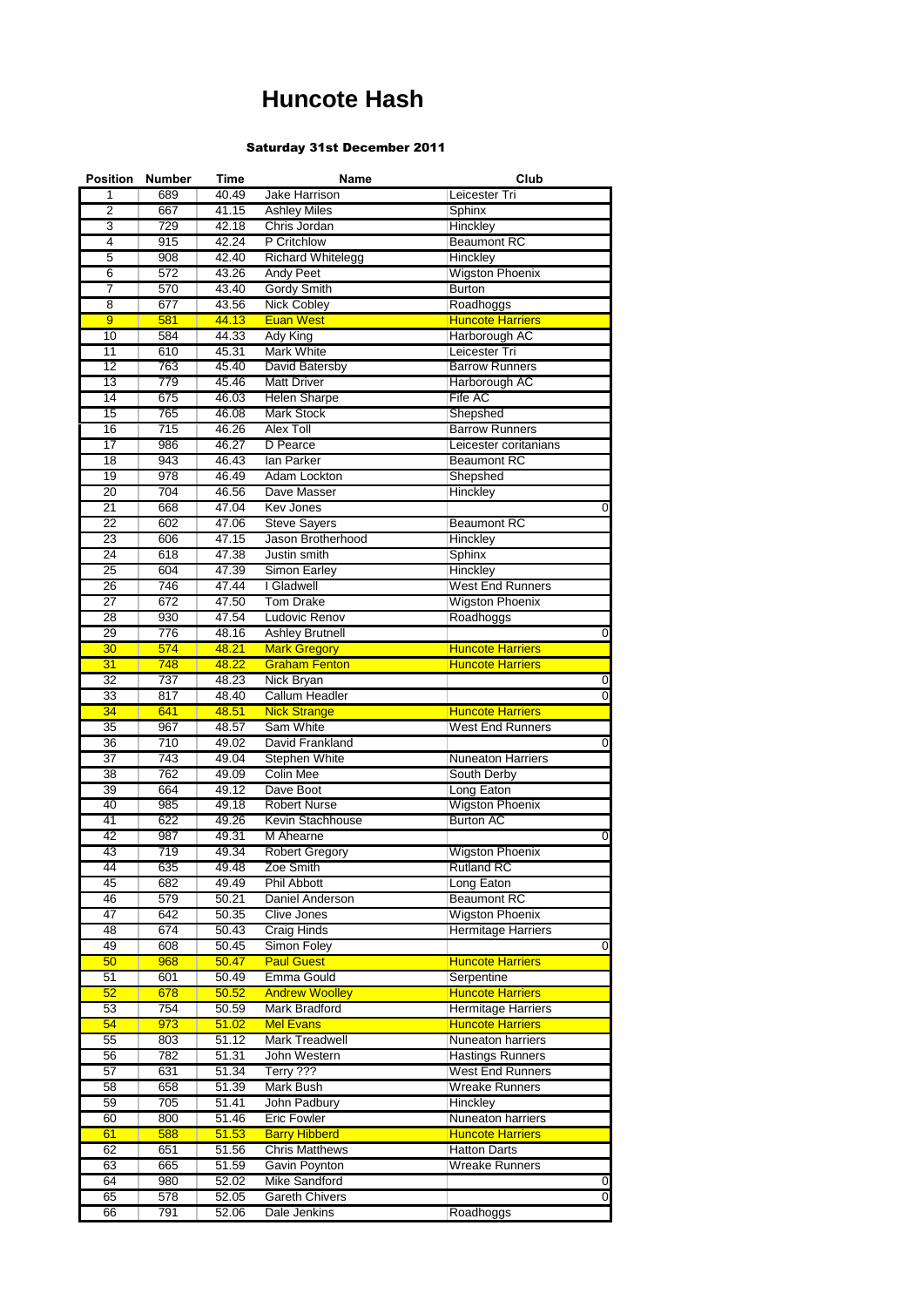## **Huncote Hash**

## Saturday 31st December 2011

| <b>Position</b> | <b>Number</b>    | Time  | Name                     | Club                      |                |
|-----------------|------------------|-------|--------------------------|---------------------------|----------------|
| 1               | 689              | 40.49 | Jake Harrison            | Leicester Tri             |                |
| 2               | 667              | 41.15 | <b>Ashley Miles</b>      | Sphinx                    |                |
| 3               | 729              | 42.18 | Chris Jordan             | Hinckley                  |                |
| 4               | 915              | 42.24 | P Critchlow              | <b>Beaumont RC</b>        |                |
| 5               | 908              | 42.40 | <b>Richard Whitelegg</b> | Hinckley                  |                |
| 6               | $\overline{572}$ | 43.26 | <b>Andy Peet</b>         | <b>Wigston Phoenix</b>    |                |
| 7               | 570              | 43.40 | Gordy Smith              | <b>Burton</b>             |                |
|                 | 677              |       |                          |                           |                |
| $\overline{8}$  |                  | 43.56 | <b>Nick Cobley</b>       | Roadhoggs                 |                |
| $\overline{9}$  | 581              | 44.13 | <b>Euan West</b>         | <b>Huncote Harriers</b>   |                |
| 10              | 584              | 44.33 | Ady King                 | Harborough AC             |                |
| 11              | 610              | 45.31 | <b>Mark White</b>        | Leicester Tri             |                |
| $\overline{12}$ | 763              | 45.40 | <b>David Batersby</b>    | <b>Barrow Runners</b>     |                |
| 13              | 779              | 45.46 | <b>Matt Driver</b>       | Harborough AC             |                |
| 14              | 675              | 46.03 | <b>Helen Sharpe</b>      | Fife AC                   |                |
| 15              | 765              | 46.08 | <b>Mark Stock</b>        | Shepshed                  |                |
| 16              | 715              | 46.26 | Alex Toll                | <b>Barrow Runners</b>     |                |
| 17              | 986              | 46.27 | D Pearce                 | Leicester coritanians     |                |
| $\overline{18}$ | 943              | 46.43 | lan Parker               | <b>Beaumont RC</b>        |                |
|                 |                  |       |                          |                           |                |
| 19              | 978              | 46.49 | Adam Lockton             | Shepshed                  |                |
| 20              | 704              | 46.56 | Dave Masser              | Hinckley                  |                |
| 21              | 668              | 47.04 | <b>Kev Jones</b>         |                           |                |
| 22              | 602              | 47.06 | <b>Steve Sayers</b>      | <b>Beaumont RC</b>        |                |
| 23              | 606              | 47.15 | Jason Brotherhood        | Hinckley                  |                |
| $\overline{24}$ | 618              | 47.38 | Justin smith             | Sphinx                    |                |
| 25              | 604              | 47.39 | Simon Earley             | Hinckley                  |                |
| 26              | 746              | 47.44 | I Gladwell               | <b>West End Runners</b>   |                |
| 27              | 672              | 47.50 | <b>Tom Drake</b>         | <b>Wigston Phoenix</b>    |                |
| 28              | 930              | 47.54 | Ludovic Renov            | Roadhoggs                 |                |
| 29              | 776              | 48.16 | <b>Ashley Brutnell</b>   |                           |                |
|                 |                  |       |                          |                           | 0              |
| 30              | 574              | 48.21 | <b>Mark Gregory</b>      | <b>Huncote Harriers</b>   |                |
| 31              | 748              | 48.22 | <b>Graham Fenton</b>     | <b>Huncote Harriers</b>   |                |
| 32              | 737              | 48.23 | <b>Nick Bryan</b>        |                           | 0              |
| 33              | 817              | 48.40 | <b>Callum Headler</b>    |                           | $\overline{0}$ |
| 34              | 641              | 48.51 | <b>Nick Strange</b>      | <b>Huncote Harriers</b>   |                |
| 35              | 967              | 48.57 | Sam White                | <b>West End Runners</b>   |                |
| 36              | 710              | 49.02 | David Frankland          |                           | 0              |
| 37              | 743              | 49.04 | Stephen White            | <b>Nuneaton Harriers</b>  |                |
| 38              | 762              | 49.09 | <b>Colin Mee</b>         | South Derby               |                |
| 39              | 664              | 49.12 | Dave Boot                | Long Eaton                |                |
| 40              | 985              | 49.18 | <b>Robert Nurse</b>      | <b>Wigston Phoenix</b>    |                |
|                 |                  |       |                          |                           |                |
| 41              | 622              | 49.26 | Kevin Stachhouse         | <b>Burton AC</b>          |                |
| 42              | 987              | 49.31 | M Ahearne                |                           | 0              |
| 43              | 719              | 49.34 | <b>Robert Gregory</b>    | <b>Wigston Phoenix</b>    |                |
| 44              | 635              | 49.48 | Zoe Smith                | <b>Rutland RC</b>         |                |
| 45              | 682              | 49.49 | Phil Abbott              | Long Eaton                |                |
| 46              | 579              | 50.21 | Daniel Anderson          | <b>Beaumont RC</b>        |                |
| 47              | 642              | 50.35 | <b>Clive Jones</b>       | <b>Wigston Phoenix</b>    |                |
| 48              | 674              | 50.43 | <b>Craig Hinds</b>       | <b>Hermitage Harriers</b> |                |
| 49              | 608              | 50.45 | Simon Foley              |                           | 0              |
| 50              | 968              | 50.47 | <b>Paul Guest</b>        | <b>Huncote Harriers</b>   |                |
|                 |                  |       |                          |                           |                |
| 51              | 601              | 50.49 | Emma Gould               | Serpentine                |                |
| 52              | 678              | 50.52 | <b>Andrew Woolley</b>    | <b>Huncote Harriers</b>   |                |
| 53              | 754              | 50.59 | Mark Bradford            | <b>Hermitage Harriers</b> |                |
| 54              | 973              | 51.02 | <b>Mel Evans</b>         | <b>Huncote Harriers</b>   |                |
| 55              | 803              | 51.12 | <b>Mark Treadwell</b>    | Nuneaton harriers         |                |
| 56              | 782              | 51.31 | John Western             | <b>Hastings Runners</b>   |                |
| 57              | 631              | 51.34 | Terry ???                | <b>West End Runners</b>   |                |
| 58              | 658              | 51.39 | Mark Bush                | <b>Wreake Runners</b>     |                |
| 59              | 705              | 51.41 | John Padbury             | Hinckley                  |                |
| 60              | 800              | 51.46 | <b>Eric Fowler</b>       | Nuneaton harriers         |                |
| 61              | 588              |       |                          |                           |                |
|                 |                  | 51.53 | <b>Barry Hibberd</b>     | <b>Huncote Harriers</b>   |                |
| 62              | 651              | 51.56 | <b>Chris Matthews</b>    | <b>Hatton Darts</b>       |                |
| 63              | 665              | 51.59 | Gavin Poynton            | <b>Wreake Runners</b>     |                |
| 64              | 980              | 52.02 | Mike Sandford            |                           | 0              |
| 65              | 578              | 52.05 | <b>Gareth Chivers</b>    |                           | 0              |
| 66              | 791              | 52.06 | Dale Jenkins             | Roadhoggs                 |                |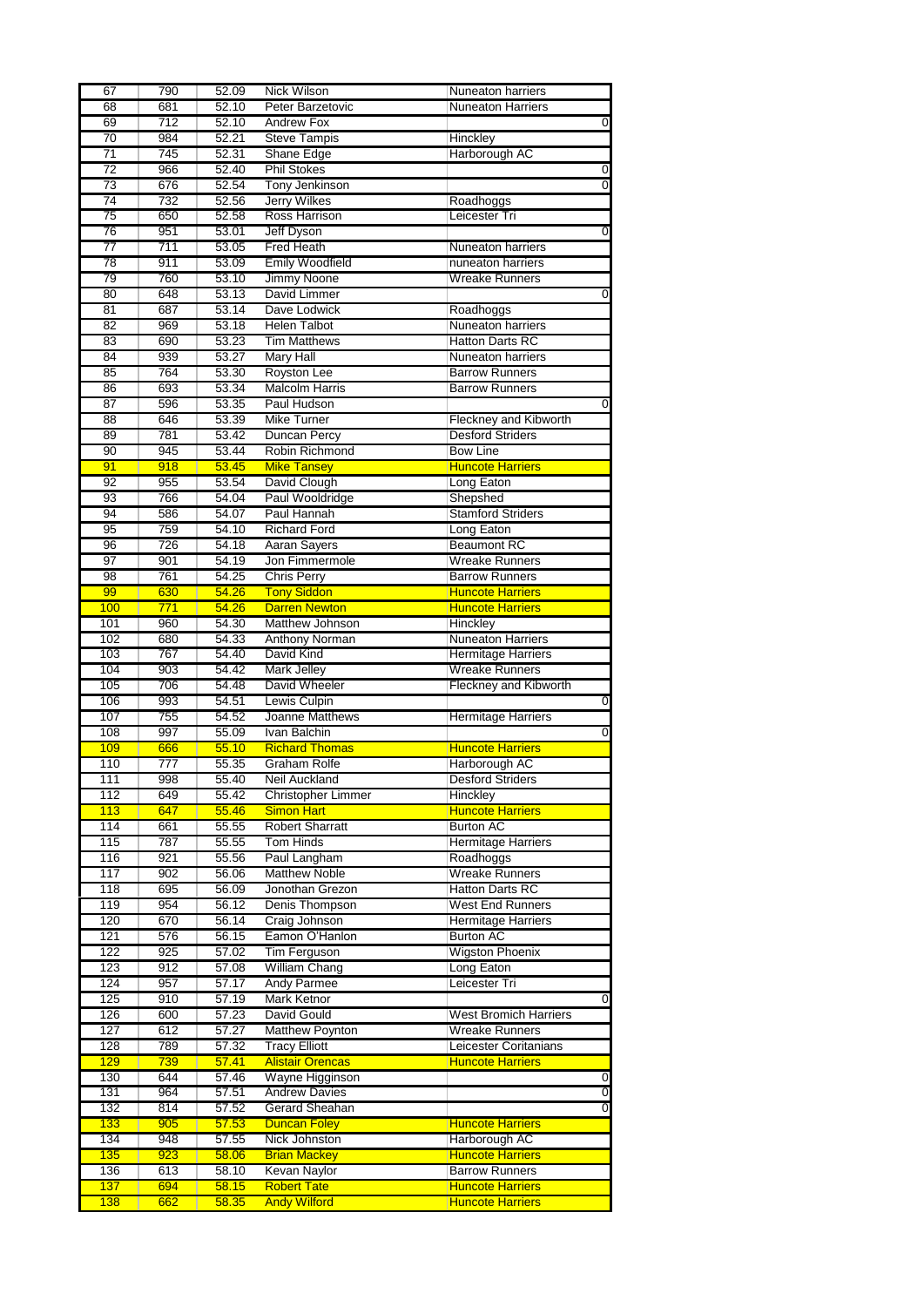| 67               | 790        | 52.09          | <b>Nick Wilson</b>                         | <b>Nuneaton harriers</b>                           |
|------------------|------------|----------------|--------------------------------------------|----------------------------------------------------|
| 68               | 681        | 52.10          | Peter Barzetovic                           | <b>Nuneaton Harriers</b>                           |
| 69               | 712        | 52.10          | <b>Andrew Fox</b>                          | O                                                  |
| 70               | 984        | 52.21          | <b>Steve Tampis</b>                        | Hinckley                                           |
| $\overline{71}$  | 745        | 52.31          | Shane Edge                                 | Harborough AC                                      |
| 72               | 966        | 52.40          | <b>Phil Stokes</b>                         | 0                                                  |
| 73               | 676        | 52.54          | Tony Jenkinson                             | $\overline{0}$                                     |
| 74               | 732        | 52.56          | <b>Jerry Wilkes</b>                        |                                                    |
|                  |            |                |                                            | Roadhoggs                                          |
| $\overline{75}$  | 650        | 52.58          | <b>Ross Harrison</b>                       | Leicester Tri                                      |
| 76               | 951        | 53.01          | <b>Jeff Dyson</b>                          | 0                                                  |
| 77               | 711        | 53.05          | <b>Fred Heath</b>                          | Nuneaton harriers                                  |
| 78               | 911        | 53.09          | <b>Emily Woodfield</b>                     | nuneaton harriers                                  |
| 79               | 760        | 53.10          | Jimmy Noone                                | <b>Wreake Runners</b>                              |
| 80               | 648        | 53.13          | David Limmer                               | 0                                                  |
| 81               | 687        | 53.14          | Dave Lodwick                               | Roadhoggs                                          |
| 82               | 969        | 53.18          | <b>Helen Talbot</b>                        | <b>Nuneaton harriers</b>                           |
| $\overline{83}$  | 690        | 53.23          | <b>Tim Matthews</b>                        | <b>Hatton Darts RC</b>                             |
| 84               | 939        | 53.27          | <b>Mary Hall</b>                           | Nuneaton harriers                                  |
| 85               | 764        | 53.30          | Royston Lee                                | <b>Barrow Runners</b>                              |
|                  |            |                |                                            |                                                    |
| 86               | 693        | 53.34          | <b>Malcolm Harris</b>                      | <b>Barrow Runners</b>                              |
| 87               | 596        | 53.35          | Paul Hudson                                | 0                                                  |
| 88               | 646        | 53.39          | <b>Mike Turner</b>                         | <b>Fleckney and Kibworth</b>                       |
| 89               | 781        | 53.42          | <b>Duncan Percy</b>                        | <b>Desford Striders</b>                            |
| 90               | 945        | 53.44          | Robin Richmond                             | <b>Bow Line</b>                                    |
| 91               | 918        | 53.45          | <b>Mike Tansey</b>                         | <b>Huncote Harriers</b>                            |
| 92               | 955        | 53.54          | David Clough                               | Long Eaton                                         |
| $\overline{93}$  | 766        | 54.04          | Paul Wooldridge                            | Shepshed                                           |
| 94               | 586        | 54.07          | Paul Hannah                                | <b>Stamford Striders</b>                           |
| 95               | 759        | 54.10          | <b>Richard Ford</b>                        | Long Eaton                                         |
|                  |            |                |                                            | <b>Beaumont RC</b>                                 |
| 96               | 726        | 54.18          | Aaran Sayers                               |                                                    |
| 97               | 901        | 54.19          | Jon Fimmermole                             | <b>Wreake Runners</b>                              |
| 98               | 761        | 54.25          | <b>Chris Perry</b>                         | <b>Barrow Runners</b>                              |
| 99               | 630        | 54.26          | <b>Tony Siddon</b>                         | <b>Huncote Harriers</b>                            |
| 100              | 771        | 54.26          | <b>Darren Newton</b>                       | <b>Huncote Harriers</b>                            |
| 101              | 960        | 54.30          | Matthew Johnson                            | Hinckley                                           |
| 102              | 680        | 54.33          | Anthony Norman                             | <b>Nuneaton Harriers</b>                           |
| 103              | 767        | 54.40          | David Kind                                 | <b>Hermitage Harriers</b>                          |
| 104              | 903        | 54.42          | <b>Mark Jelley</b>                         | <b>Wreake Runners</b>                              |
|                  |            |                |                                            |                                                    |
|                  |            |                |                                            |                                                    |
| 105              | 706        | 54.48          | David Wheeler                              | <b>Fleckney and Kibworth</b>                       |
| 106              | 993        | 54.51          | <b>Lewis Culpin</b>                        | 0                                                  |
| 107              | 755        | 54.52          | Joanne Matthews                            | <b>Hermitage Harriers</b>                          |
| 108              | 997        | 55.09          | Ivan Balchin                               | $\overline{0}$                                     |
| 109              | 666        | 55.10          | <b>Richard Thomas</b>                      | <b>Huncote Harriers</b>                            |
| 110              | 777        | 55.35          | Graham Rolfe                               | Harborough AC                                      |
| 111              | 998        | 55.40          | Neil Auckland                              | <b>Desford Striders</b>                            |
| 112              | 649        | 55.42          | Christopher Limmer                         | Hinckley                                           |
| $\overline{113}$ | 647        | 55.46          | <b>Simon Hart</b>                          | <b>Huncote Harriers</b>                            |
| 114              | 661        | 55.55          |                                            |                                                    |
| 115              | 787        |                | <b>Robert Sharratt</b><br><b>Tom Hinds</b> | <b>Burton AC</b><br><b>Hermitage Harriers</b>      |
|                  |            | 55.55          |                                            |                                                    |
| 116              | 921        | 55.56          | Paul Langham                               | Roadhoggs                                          |
| 117              | 902        | 56.06          | <b>Matthew Noble</b>                       | <b>Wreake Runners</b>                              |
| 118              | 695        | 56.09          | Jonothan Grezon                            | <b>Hatton Darts RC</b>                             |
| 119              | 954        | 56.12          | Denis Thompson                             | <b>West End Runners</b>                            |
| 120              | 670        | 56.14          | Craig Johnson                              | <b>Hermitage Harriers</b>                          |
| 121              | 576        | 56.15          | Eamon O'Hanlon                             | <b>Burton AC</b>                                   |
| 122              | 925        | 57.02          | <b>Tim Ferguson</b>                        | <b>Wigston Phoenix</b>                             |
| 123              | 912        | 57.08          | <b>William Chang</b>                       | Long Eaton                                         |
| 124              | 957        | 57.17          | Andy Parmee                                | Leicester Tri                                      |
| 125              | 910        | 57.19          | Mark Ketnor                                | 0                                                  |
|                  |            |                |                                            |                                                    |
| 126              | 600        | 57.23          | David Gould                                | West Bromich Harriers                              |
| 127              | 612        | 57.27          | <b>Matthew Poynton</b>                     | <b>Wreake Runners</b>                              |
| 128              | 789        | 57.32          | <b>Tracy Elliott</b>                       | Leicester Coritanians                              |
| 129              | 739        | 57.41          | <b>Alistair Orencas</b>                    | <b>Huncote Harriers</b>                            |
| 130              | 644        | 57.46          | Wayne Higginson                            | 0                                                  |
| 131              | 964        | 57.51          | <b>Andrew Davies</b>                       | O                                                  |
| 132              | 814        | 57.52          | Gerard Sheahan                             | 0                                                  |
| 133              | 905        | 57.53          | <b>Duncan Foley</b>                        | <b>Huncote Harriers</b>                            |
| 134              | 948        | 57.55          | Nick Johnston                              | Harborough AC                                      |
| 135              | 923        |                |                                            |                                                    |
|                  |            | 58.06          | <b>Brian Mackey</b>                        | <b>Huncote Harriers</b>                            |
| 136              | 613        | 58.10          | Kevan Naylor                               | <b>Barrow Runners</b>                              |
| 137<br>138       | 694<br>662 | 58.15<br>58.35 | <b>Robert Tate</b><br><b>Andy Wilford</b>  | <b>Huncote Harriers</b><br><b>Huncote Harriers</b> |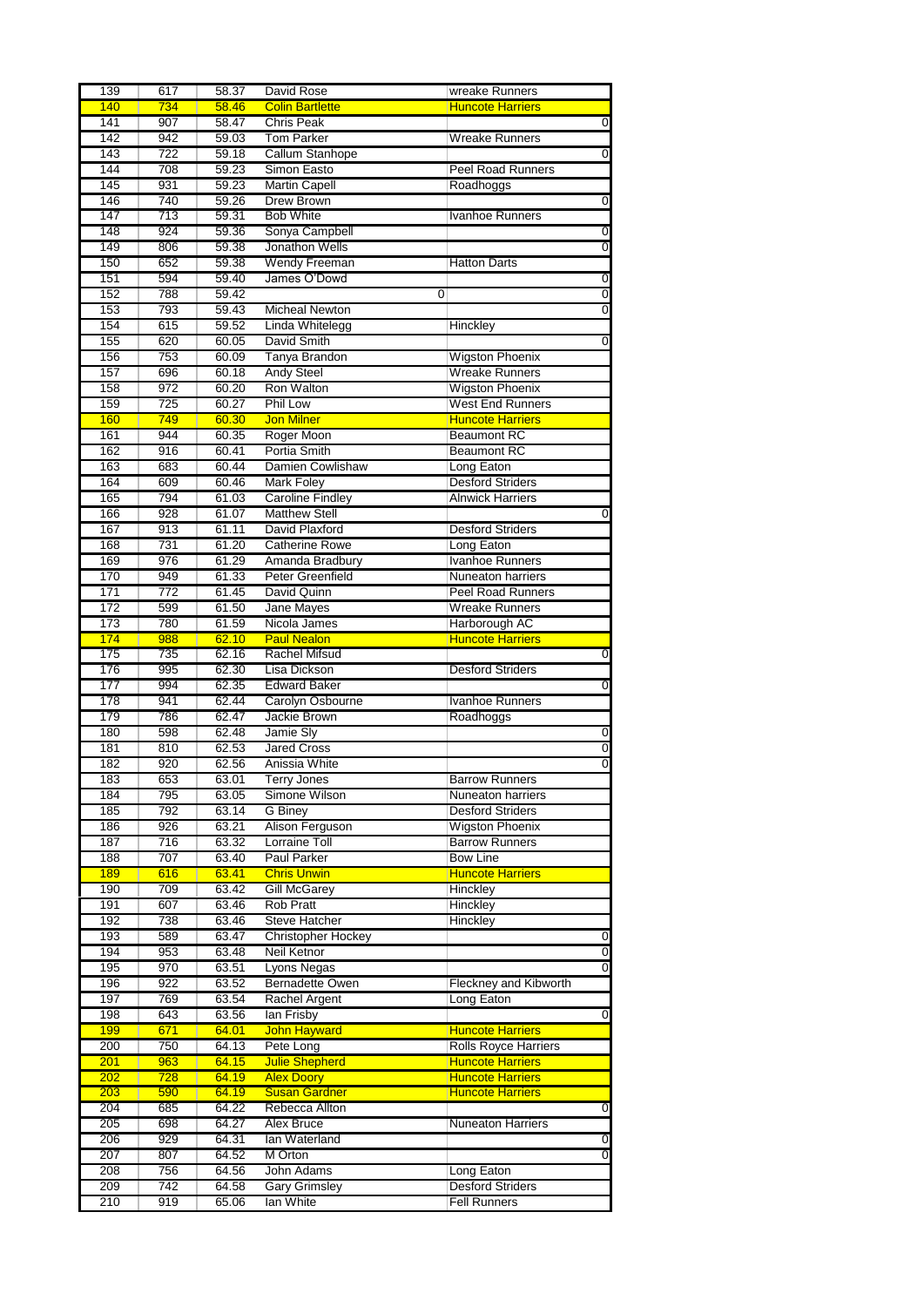|            | 617        | 58.37          | David Rose                        | wreake Runners                                 |                |
|------------|------------|----------------|-----------------------------------|------------------------------------------------|----------------|
| 140        | 734        | 58.46          | <b>Colin Bartlette</b>            | <b>Huncote Harriers</b>                        |                |
| 141        | 907        | 58.47          | <b>Chris Peak</b>                 |                                                | $\mathbf 0$    |
| 142        | 942        | 59.03          | <b>Tom Parker</b>                 | <b>Wreake Runners</b>                          |                |
| 143        | 722        | 59.18          | Callum Stanhope                   |                                                | $\overline{0}$ |
| 144        | 708        | 59.23          | Simon Easto                       | <b>Peel Road Runners</b>                       |                |
| 145        | 931        | 59.23          | <b>Martin Capell</b>              | Roadhoggs                                      |                |
| 146        | 740        | 59.26          | <b>Drew Brown</b>                 |                                                | $\overline{0}$ |
| 147        | 713        | 59.31          | <b>Bob White</b>                  | <b>Ivanhoe Runners</b>                         |                |
| 148        | 924        | 59.36          | Sonya Campbell                    |                                                | $\overline{0}$ |
| 149        | 806        | 59.38          | Jonathon Wells                    |                                                | 0              |
| 150        | 652        | 59.38          | <b>Wendy Freeman</b>              | <b>Hatton Darts</b>                            |                |
| 151        | 594        | 59.40          | James O'Dowd                      |                                                | $\overline{0}$ |
| 152        | 788        | 59.42          |                                   | 0                                              | $\overline{0}$ |
| 153        | 793        | 59.43          | <b>Micheal Newton</b>             |                                                | $\overline{0}$ |
| 154        | 615        | 59.52          | Linda Whitelegg                   | Hinckley                                       |                |
| 155        | 620        | 60.05          | David Smith                       |                                                | 0              |
| 156        | 753        | 60.09          | Tanya Brandon                     | <b>Wigston Phoenix</b>                         |                |
| 157        | 696        | 60.18          | <b>Andy Steel</b>                 | Wreake Runners                                 |                |
| 158        | 972        | 60.20          | Ron Walton                        | <b>Wigston Phoenix</b>                         |                |
| 159        | 725        | 60.27          | Phil Low                          | <b>West End Runners</b>                        |                |
| 160        | 749        | 60.30          | <b>Jon Milner</b>                 | <b>Huncote Harriers</b>                        |                |
| 161        | 944        | 60.35          | Roger Moon                        | <b>Beaumont RC</b>                             |                |
| 162        | 916        | 60.41          | Portia Smith                      | <b>Beaumont RC</b>                             |                |
| 163        | 683        | 60.44          | Damien Cowlishaw                  | Long Eaton                                     |                |
| 164        | 609        | 60.46          | <b>Mark Foley</b>                 | <b>Desford Striders</b>                        |                |
| 165        | 794        | 61.03          | <b>Caroline Findley</b>           | <b>Alnwick Harriers</b>                        |                |
| 166        | 928        | 61.07          | <b>Matthew Stell</b>              |                                                | 0              |
| 167        | 913        | 61.11          | David Plaxford                    | <b>Desford Striders</b>                        |                |
| 168        | 731        | 61.20          | <b>Catherine Rowe</b>             | Long Eaton                                     |                |
| 169        | 976        | 61.29          | Amanda Bradbury                   | Ivanhoe Runners                                |                |
| 170        | 949        | 61.33          | Peter Greenfield                  | Nuneaton harriers                              |                |
| 171        | 772        | 61.45          | David Quinn                       | <b>Peel Road Runners</b>                       |                |
| 172        | 599        | 61.50          | Jane Mayes                        | Wreake Runners                                 |                |
| 173        | 780        | 61.59          | Nicola James                      | Harborough AC                                  |                |
| 174        | 988        | 62.10          | <b>Paul Nealon</b>                | <b>Huncote Harriers</b>                        |                |
| 175        | 735        | 62.16          | <b>Rachel Mifsud</b>              |                                                | 0              |
| 176        | 995        | 62.30          | Lisa Dickson                      | <b>Desford Striders</b>                        |                |
| 177        | 994        | 62.35          | <b>Edward Baker</b>               |                                                | $\overline{0}$ |
| 178        | 941        | 62.44          | Carolyn Osbourne                  | <b>Ivanhoe Runners</b>                         |                |
| 179        | 786        | 62.47          | Jackie Brown                      | Roadhoggs                                      |                |
| 180        | 598        | 62.48          | Jamie Sly                         |                                                | 0              |
| 181        | 810        |                | <b>Jared Cross</b>                |                                                |                |
| 182        |            |                |                                   |                                                |                |
|            |            | 62.53          |                                   |                                                | $\overline{0}$ |
|            | 920        | 62.56          | Anissia White                     |                                                | $\overline{0}$ |
| 183        | 653        | 63.01          | <b>Terry Jones</b>                | <b>Barrow Runners</b>                          |                |
| 184        | 795        | 63.05          | Simone Wilson                     | Nuneaton harriers                              |                |
| 185        | 792        | 63.14          | G Biney                           | <b>Desford Striders</b>                        |                |
| 186        | 926        | 63.21          | Alison Ferguson                   | <b>Wigston Phoenix</b>                         |                |
| 187        | 716        | 63.32          | <b>Lorraine Toll</b>              | <b>Barrow Runners</b>                          |                |
| 188        | 707        | 63.40          | <b>Paul Parker</b>                | <b>Bow Line</b>                                |                |
| 189        | 616        | 63.41          | <b>Chris Unwin</b>                | <b>Huncote Harriers</b>                        |                |
| 190        | 709        | 63.42          | <b>Gill McGarey</b>               | Hinckley                                       |                |
| 191        | 607        | 63.46          | <b>Rob Pratt</b>                  | Hinckley                                       |                |
| 192        | 738        | 63.46          | <b>Steve Hatcher</b>              | Hinckley                                       |                |
| 193        | 589        | 63.47          | <b>Christopher Hockey</b>         |                                                | 0              |
| 194        | 953        | 63.48          | Neil Ketnor                       |                                                | $\overline{0}$ |
| 195        | 970        | 63.51          | <b>Lyons Negas</b>                |                                                | 0              |
| 196        | 922        | 63.52          | <b>Bernadette Owen</b>            | Fleckney and Kibworth                          |                |
| 197        | 769        | 63.54          | Rachel Argent                     | Long Eaton                                     |                |
| 198        | 643        | 63.56          | lan Frisby                        |                                                | 0              |
| 199        | 671        | 64.01          | <b>John Hayward</b>               | <b>Huncote Harriers</b>                        |                |
| 200        | 750        | 64.13          | Pete Long                         | <b>Rolls Royce Harriers</b>                    |                |
| 201        | 963        | 64.15          | <b>Julie Shepherd</b>             | <b>Huncote Harriers</b>                        |                |
| 202        | 728        | 64.19          | <b>Alex Doory</b>                 | <b>Huncote Harriers</b>                        |                |
| 203        | 590        | 64.19          | <b>Susan Gardner</b>              | <b>Huncote Harriers</b>                        |                |
| 204        | 685        | 64.22          | Rebecca Allton                    |                                                | 0              |
| 205        | 698        | 64.27          | Alex Bruce                        | <b>Nuneaton Harriers</b>                       |                |
| 206        | 929        | 64.31          | lan Waterland                     |                                                | 0              |
| 207        | 807        | 64.52          | M Orton                           |                                                | $\overline{0}$ |
| 208        | 756        | 64.56          | John Adams                        | Long Eaton                                     |                |
| 209<br>210 | 742<br>919 | 64.58<br>65.06 | <b>Gary Grimsley</b><br>lan White | <b>Desford Striders</b><br><b>Fell Runners</b> |                |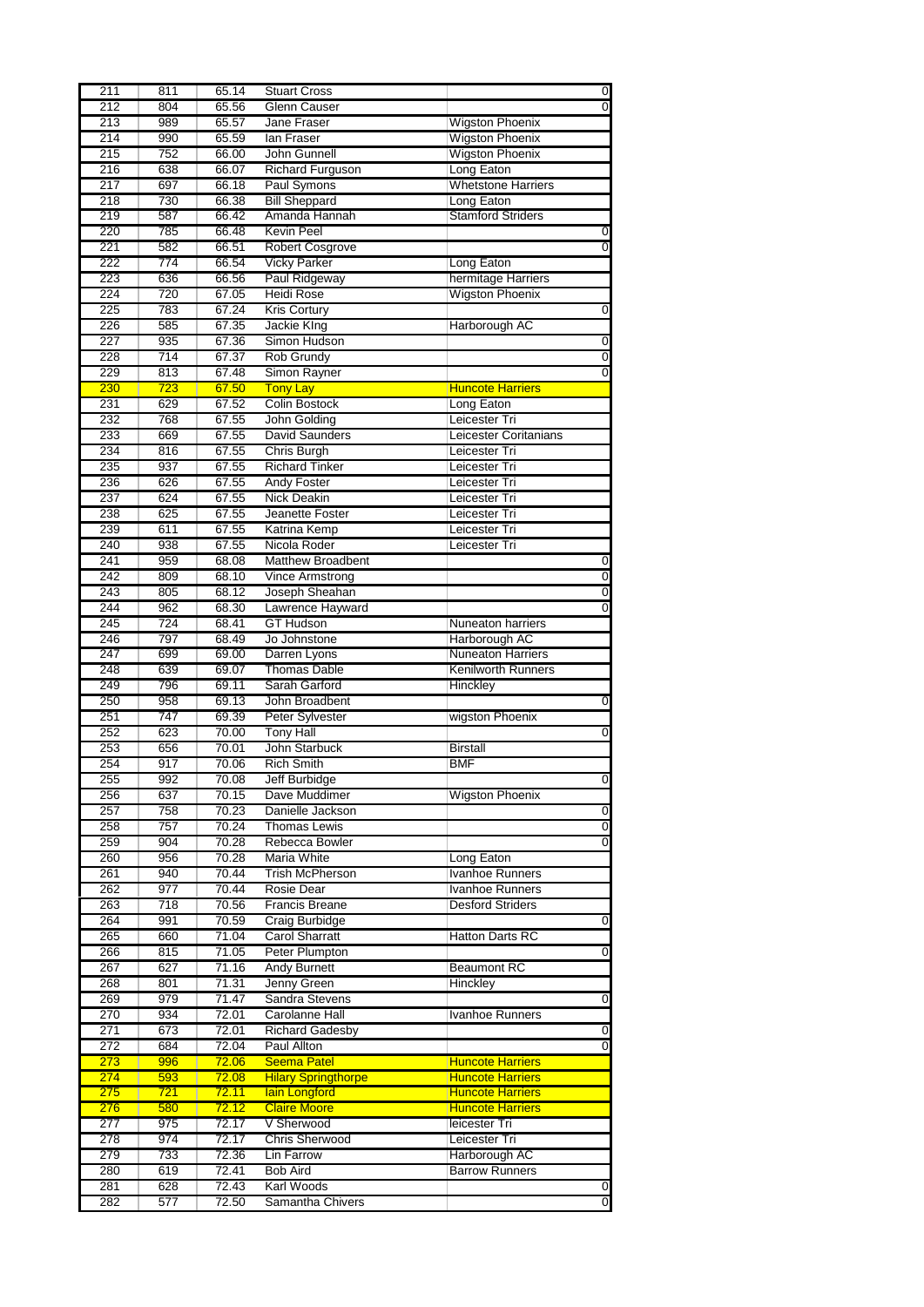|                  | 811              | 65.14        | <b>Stuart Cross</b>        |                           | 0                                                                   |
|------------------|------------------|--------------|----------------------------|---------------------------|---------------------------------------------------------------------|
| 212              | 804              | 65.56        | <b>Glenn Causer</b>        |                           | $\overline{0}$                                                      |
| 213              | 989              | 65.57        | Jane Fraser                | <b>Wigston Phoenix</b>    |                                                                     |
| 214              | 990              | 65.59        | lan Fraser                 | <b>Wigston Phoenix</b>    |                                                                     |
| 215              | 752              | 66.00        | John Gunnell               | <b>Wigston Phoenix</b>    |                                                                     |
| 216              | 638              | 66.07        | <b>Richard Furguson</b>    | Long Eaton                |                                                                     |
| 217              | 697              | 66.18        | Paul Symons                | <b>Whetstone Harriers</b> |                                                                     |
| 218              | 730              | 66.38        | <b>Bill Sheppard</b>       | Long Eaton                |                                                                     |
| 219              | 587              | 66.42        | Amanda Hannah              | <b>Stamford Striders</b>  |                                                                     |
| 220              | 785              | 66.48        | <b>Kevin Peel</b>          |                           | 0                                                                   |
| 221              | 582              | 66.51        | <b>Robert Cosgrove</b>     |                           | $\overline{0}$                                                      |
| 222              | 774              | 66.54        | <b>Vicky Parker</b>        | Long Eaton                |                                                                     |
| 223              | 636              | 66.56        | Paul Ridgeway              | hermitage Harriers        |                                                                     |
| $\overline{224}$ | $\overline{720}$ | 67.05        | <b>Heidi Rose</b>          | Wigston Phoenix           |                                                                     |
| 225              | 783              | 67.24        | <b>Kris Cortury</b>        |                           | 0                                                                   |
| 226              | 585              | 67.35        | Jackie King                | Harborough AC             |                                                                     |
| 227              | 935              | 67.36        | Simon Hudson               |                           | $\overline{0}$                                                      |
| 228              | 714              | 67.37        | Rob Grundy                 |                           | $\overline{0}$                                                      |
| 229              | 813              | 67.48        | Simon Rayner               |                           | $\overline{0}$                                                      |
| 230              | 723              | 67.50        | <b>Tony Lay</b>            | <b>Huncote Harriers</b>   |                                                                     |
| 231              | 629              | 67.52        | <b>Colin Bostock</b>       | Long Eaton                |                                                                     |
| 232              | 768              | 67.55        | John Golding               | Leicester Tri             |                                                                     |
| 233              | 669              | 67.55        | <b>David Saunders</b>      | Leicester Coritanians     |                                                                     |
| 234              | 816              | 67.55        | Chris Burgh                | Leicester Tri             |                                                                     |
| 235              | 937              | 67.55        | <b>Richard Tinker</b>      | Leicester Tri             |                                                                     |
| 236              | 626              | 67.55        | <b>Andy Foster</b>         | Leicester Tri             |                                                                     |
| 237              | 624              | 67.55        | <b>Nick Deakin</b>         | Leicester Tri             |                                                                     |
| 238              | 625              | 67.55        | Jeanette Foster            | Leicester Tri             |                                                                     |
| 239              | 611              | 67.55        | Katrina Kemp               | Leicester Tri             |                                                                     |
| 240              | 938              | 67.55        | Nicola Roder               | Leicester Tri             |                                                                     |
| 241              | 959              | 68.08        | <b>Matthew Broadbent</b>   |                           | 0                                                                   |
| 242              | 809              | 68.10        | Vince Armstrong            |                           | $\overline{0}$                                                      |
| $\overline{243}$ | 805              | 68.12        | Joseph Sheahan             |                           | $\overline{0}$                                                      |
| 244              | 962              | 68.30        | Lawrence Hayward           |                           | $\overline{0}$                                                      |
| 245              | 724              | 68.41        | <b>GT Hudson</b>           | <b>Nuneaton harriers</b>  |                                                                     |
| 246              | 797              | 68.49        | Jo Johnstone               | Harborough AC             |                                                                     |
| 247              | 699              | 69.00        | Darren Lyons               | <b>Nuneaton Harriers</b>  |                                                                     |
| 248              | 639              | 69.07        | <b>Thomas Dable</b>        | <b>Kenilworth Runners</b> |                                                                     |
|                  |                  |              |                            |                           |                                                                     |
|                  |                  |              |                            |                           |                                                                     |
| 249              | 796              | 69.11        | Sarah Garford              | Hinckley                  |                                                                     |
| 250              | 958              | 69.13        | John Broadbent             |                           | 0                                                                   |
| 251              | 747              | 69.39        | Peter Sylvester            | wigston Phoenix           |                                                                     |
| 252              | 623              | 70.00        | <b>Tony Hall</b>           |                           | $\overline{0}$                                                      |
| 253              | 656              | 70.01        | John Starbuck              | <b>Birstall</b>           |                                                                     |
| 254              | 917              | 70.06        | <b>Rich Smith</b>          | <b>BMF</b>                |                                                                     |
| 255              | 992              | 70.08        | Jeff Burbidge              |                           |                                                                     |
| 256              | 637              | 70.15        | Dave Muddimer              | <b>Wigston Phoenix</b>    |                                                                     |
| 257              | 758              | 70.23        | Danielle Jackson           |                           |                                                                     |
| 258              | 757              | 70.24        | <b>Thomas Lewis</b>        |                           |                                                                     |
| 259              | 904              | 70.28        | Rebecca Bowler             |                           |                                                                     |
| 260              | 956              | 70.28        | Maria White                | Long Eaton                |                                                                     |
| 261              | 940              | 70.44        | <b>Trish McPherson</b>     | <b>Ivanhoe Runners</b>    |                                                                     |
| 262              | 977              | 70.44        | Rosie Dear                 | <b>Ivanhoe Runners</b>    |                                                                     |
| 263              | 718              | 70.56        | <b>Francis Breane</b>      | <b>Desford Striders</b>   |                                                                     |
| 264              | 991              | 70.59        | Craig Burbidge             |                           |                                                                     |
| 265              | 660              | 71.04        | <b>Carol Sharratt</b>      | Hatton Darts RC           | $\overline{0}$<br>$\mathbf 0$<br>$\overline{0}$<br>$\mathbf 0$<br>0 |
| 266              | 815              | 71.05        | Peter Plumpton             |                           | $\mathbf 0$                                                         |
| 267              | 627              | 71.16        | <b>Andy Burnett</b>        | <b>Beaumont RC</b>        |                                                                     |
| 268              | 801              | 71.31        | Jenny Green                | Hinckley                  |                                                                     |
| 269              | 979              | 71.47        | Sandra Stevens             |                           | 0                                                                   |
| 270              | 934              | 72.01        | Carolanne Hall             | <b>Ivanhoe Runners</b>    |                                                                     |
| 271              | 673              | 72.01        | <b>Richard Gadesby</b>     |                           |                                                                     |
| 272              | 684              | 72.04        | Paul Allton                |                           | 0<br>$\Omega$                                                       |
| 273              | 996              | 72.06        | <b>Seema Patel</b>         | <b>Huncote Harriers</b>   |                                                                     |
| 274              | 593              | 72.08        | <b>Hilary Springthorpe</b> | <b>Huncote Harriers</b>   |                                                                     |
| 275              | <u>721</u>       | <b>72.11</b> | lain Longford              | <b>Huncote Harriers</b>   |                                                                     |
| 276              | 580              | 72.12        | <b>Claire Moore</b>        | <b>Huncote Harriers</b>   |                                                                     |
| 277              | 975              | 72.17        | V Sherwood                 | leicester Tri             |                                                                     |
| 278              | 974              | 72.17        | <b>Chris Sherwood</b>      | Leicester Tri             |                                                                     |
| 279              | 733              | 72.36        | Lin Farrow                 | Harborough AC             |                                                                     |
| 280              | 619              | 72.41        | <b>Bob Aird</b>            | <b>Barrow Runners</b>     |                                                                     |
| 281              | 628              | 72.43        | Karl Woods                 |                           | 0                                                                   |